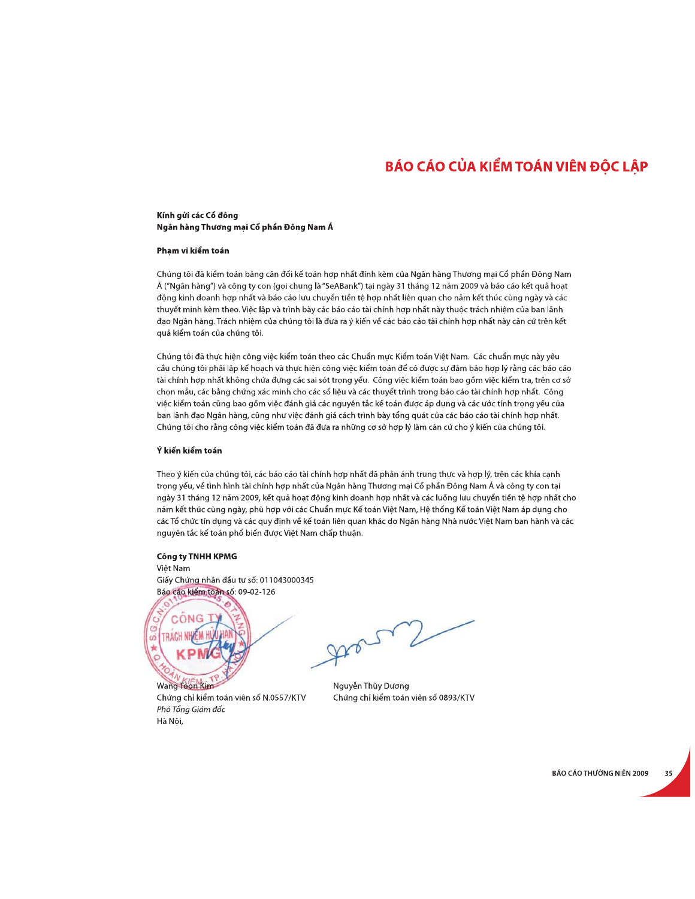## BÁO CÁO CỦA KIỂM TOÁN VIÊN ĐỘC LẬP

### Kính gửi các Cổ đông Ngân hàng Thương mại Cổ phần Đông Nam Á

#### Phạm vi kiểm toán

Chúng tôi đã kiểm toán bảng cân đối kế toán hợp nhất đính kèm của Ngân hàng Thương mại Cổ phần Đông Nam Á ("Ngân hàng") và công ty con (gọi chung là "SeABank") tại ngày 31 tháng 12 năm 2009 và báo cáo kết quả hoạt động kinh doanh hợp nhất và báo cáo lưu chuyển tiền tệ hợp nhất liên quan cho năm kết thúc cùng ngày và các thuyết minh kèm theo. Việc lập và trình bày các báo cáo tài chính hợp nhất này thuộc trách nhiệm của ban lãnh đạo Ngân hàng. Trách nhiệm của chúng tôi là đưa ra ý kiến về các báo cáo tài chính hợp nhất này căn cứ trên kết quả kiểm toán của chúng tôi.

Chúng tôi đã thực hiện công việc kiểm toán theo các Chuẩn mực Kiểm toán Việt Nam. Các chuẩn mực này yêu cầu chúng tôi phải lập kế hoạch và thực hiện công việc kiểm toán để có được sự đảm bảo hợp lý rằng các báo cáo tài chính hợp nhất không chứa đựng các sai sót trọng yếu. Công việc kiểm toán bao gồm việc kiểm tra, trên cơ sở chọn mẫu, các bằng chứng xác minh cho các số liệu và các thuyết trình trong báo cáo tài chính hợp nhất. Công việc kiểm toán cũng bao gồm việc đánh giá các nguyên tắc kế toán được áp dụng và các ước tính trọng yếu của ban lãnh đạo Ngân hàng, cũng như việc đánh giá cách trình bày tổng quát của các báo cáo tài chính hợp nhất. Chúng tôi cho rằng công việc kiểm toán đã đưa ra những cơ sở hợp lý làm căn cứ cho ý kiến của chúng tôi.

#### Ý kiến kiểm toán

Theo ý kiến của chúng tôi, các báo cáo tài chính hợp nhất đã phản ánh trung thực và hợp lý, trên các khía canh trong yếu, về tình hình tài chính hợp nhất của Ngân hàng Thương mai Cổ phần Đông Nam Á và công ty con tai ngày 31 tháng 12 năm 2009, kết quả hoạt động kinh doanh hợp nhất và các luồng lưu chuyển tiền tệ hợp nhất cho năm kết thúc cùng ngày, phù hợp với các Chuẩn mực Kế toán Việt Nam, Hệ thống Kế toán Việt Nam áp dụng cho các Tổ chức tín dụng và các quy định về kế toán liên quan khác do Ngân hàng Nhà nước Việt Nam ban hành và các nguyên tắc kế toán phổ biến được Việt Nam chấp thuận.

### Công ty TNHH KPMG

Việt Nam Giấy Chứng nhận đầu tư số: 011043000345 Báo cáo kiểm toán số: 09-02-126



Phó Tổng Giám đốc

Hà Nội,

 $\sqrt{ }$ 

Nguyễn Thùy Dương Chứng chỉ kiểm toán viên số 0893/KTV

BÁO CÁO THƯỜNG NIÊN 2009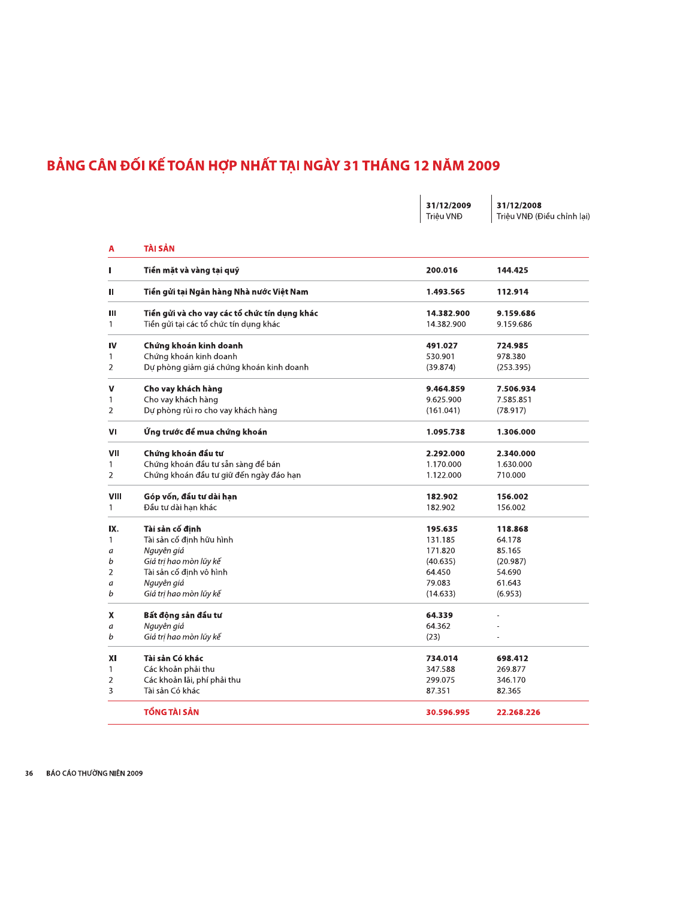## BẢNG CÂN ĐỐI KẾ TOÁN HỢP NHẤT TẠI NGÀY 31 THÁNG 12 NĂM 2009

|                |                                               | Triệu VNĐ  | Triệu VNĐ (Điều chính lại) |
|----------------|-----------------------------------------------|------------|----------------------------|
| A              | TÀI SẢN                                       |            |                            |
| Ш              | Tiền mặt và vàng tại quỹ                      | 200.016    | 144.425                    |
| Ш              | Tiền gửi tại Ngân hàng Nhà nước Việt Nam      | 1.493.565  | 112.914                    |
| Ш              | Tiền gửi và cho vay các tổ chức tín dụng khác | 14.382.900 | 9.159.686                  |
| 1              | Tiền gửi tại các tổ chức tín dụng khác        | 14.382.900 | 9.159.686                  |
| IV             | Chứng khoán kinh doanh                        | 491.027    | 724.985                    |
| 1              | Chứng khoán kinh doanh                        | 530.901    | 978.380                    |
| 2              | Dự phòng giảm giá chứng khoán kinh doanh      | (39.874)   | (253.395)                  |
| ۷              | Cho vay khách hàng                            | 9.464.859  | 7.506.934                  |
| 1              | Cho vay khách hàng                            | 9.625.900  | 7.585.851                  |
| 2              | Dự phòng rủi ro cho vay khách hàng            | (161.041)  | (78.917)                   |
| ۷ı             | Ứng trước để mua chứng khoán                  | 1.095.738  | 1.306.000                  |
| VII            | Chứng khoán đầu tư                            | 2.292.000  | 2.340.000                  |
| 1              | Chứng khoán đầu tư sẵn sàng để bán            | 1.170.000  | 1.630.000                  |
| $\overline{2}$ | Chứng khoán đầu tư giữ đến ngày đáo han       | 1.122.000  | 710.000                    |
| VIII           | Góp vốn, đầu tư dài hạn                       | 182.902    | 156.002                    |
| 1              | Đầu tư dài han khác                           | 182.902    | 156.002                    |
| IX.            | Tài sản cố đỉnh                               | 195.635    | 118.868                    |
| 1              | Tài sản cố đinh hữu hình                      | 131.185    | 64.178                     |
| a              | Nguyên giá                                    | 171.820    | 85.165                     |
| b              | Giá tri hao mòn lũy kế                        | (40.635)   | (20.987)                   |
| 2              | Tài sản cố định vô hình                       | 64.450     | 54.690                     |
| а              | Nguyên giá                                    | 79.083     | 61.643                     |
| b              | Giá tri hao mòn lũy kế                        | (14.633)   | (6.953)                    |
| X              | Bất động sản đầu tư                           | 64.339     |                            |
| a              | Nguyên giá                                    | 64.362     |                            |
| b              | Giá trị hao mòn lũy kế                        | (23)       |                            |
| XI             | Tài sản Có khác                               | 734.014    | 698.412                    |
| 1              | Các khoản phải thu                            | 347.588    | 269.877                    |
| 2              | Các khoản lãi, phí phải thu                   | 299.075    | 346.170                    |
| 3              | Tài sản Có khác                               | 87.351     | 82.365                     |
|                | TỔNG TÀI SẢN                                  | 30.596.995 | 22.268.226                 |

 $\begin{array}{|c|c|c|c|c|}\n\hline\n31/12/2009 & 31/12/2008\n\end{array}$ 

36 BÁO CÁO THƯỜNG NIÊN 2009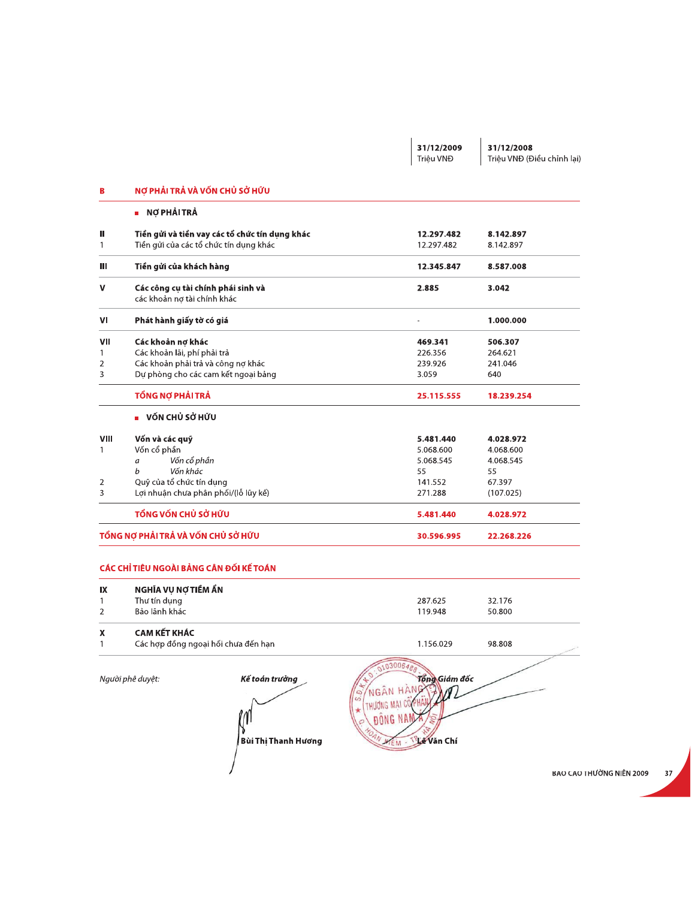|                    |                                                                                                                               |                                                |                                           | 31/12/2009<br>Triêu VNĐ                 | 31/12/2008<br>Triệu VNĐ (Điều chỉnh lại) |
|--------------------|-------------------------------------------------------------------------------------------------------------------------------|------------------------------------------------|-------------------------------------------|-----------------------------------------|------------------------------------------|
| В                  | NỢ PHẢI TRẢ VÀ VỐN CHỦ SỞ HỮU                                                                                                 |                                                |                                           |                                         |                                          |
|                    | ■ NỢ PHẢI TRẢ                                                                                                                 |                                                |                                           |                                         |                                          |
| ш<br>$\mathbf{1}$  | Tiền gửi của các tổ chức tín dụng khác                                                                                        | Tiền gửi và tiền vay các tổ chức tín dụng khác |                                           | 12.297.482<br>12.297.482                | 8.142.897<br>8.142.897                   |
| Ш                  | Tiền gửi của khách hàng                                                                                                       |                                                |                                           | 12.345.847                              | 8.587.008                                |
| v                  | Các công cụ tài chính phái sinh và<br>các khoản nợ tài chính khác                                                             |                                                |                                           | 2.885                                   | 3.042                                    |
| VI                 | Phát hành giấy tờ có giá                                                                                                      |                                                |                                           |                                         | 1.000.000                                |
| VII<br>1<br>2<br>3 | Các khoản nợ khác<br>Các khoản lãi, phí phải trả<br>Các khoản phải trả và công nơ khác<br>Dự phòng cho các cam kết ngoại bảng |                                                |                                           | 469.341<br>226.356<br>239.926<br>3.059  | 506.307<br>264.621<br>241.046<br>640     |
|                    | TỔNG NỢ PHẢI TRẢ                                                                                                              |                                                |                                           | 25.115.555                              | 18.239.254                               |
|                    | ■ VỐN CHỦ SỞ HỮU                                                                                                              |                                                |                                           |                                         |                                          |
| <b>VIII</b>        | Vốn và các quỹ                                                                                                                |                                                |                                           | 5.481.440                               | 4.028.972                                |
| $\mathbf{1}$<br>2  | Vốn cổ phần<br>Vốn cổ phần<br>a<br>Vốn khác<br>b<br>Quỹ của tổ chức tín dụng                                                  |                                                |                                           | 5.068.600<br>5.068.545<br>55<br>141.552 | 4.068.600<br>4.068.545<br>55<br>67.397   |
| 3                  | Lợi nhuận chưa phân phối/(lỗ lũy kế)                                                                                          |                                                |                                           | 271.288                                 | (107.025)                                |
|                    | TỔNG VỐN CHỦ SỞ HỮU<br>TỔNG NỢ PHẢI TRẢ VÀ VỐN CHỦ SỞ HỮU                                                                     |                                                |                                           | 5.481.440                               | 4.028.972                                |
|                    | CÁC CHỈ TIÊU NGOÀI BẢNG CÂN ĐỐI KẾ TOÁN                                                                                       |                                                |                                           | 30.596.995                              | 22.268.226                               |
| IX                 | NGHĨA VỤ NỢ TIỀM ẨN                                                                                                           |                                                |                                           |                                         |                                          |
| 1                  | Thư tín dụng                                                                                                                  |                                                |                                           | 287.625                                 | 32.176                                   |
| 2                  | Bảo lãnh khác                                                                                                                 |                                                |                                           | 119.948                                 | 50.800                                   |
| X<br>1             | <b>CAM KẾT KHÁC</b><br>Các hợp đồng ngoại hối chưa đến hạn                                                                    |                                                |                                           | 1.156.029                               | 98.808                                   |
|                    | Người phê duyệt:                                                                                                              | Kế toán trưởng                                 | 03006488<br>NGÂN HÀNG<br>$\mathcal{Q}$    | Tổng Giám đốc                           |                                          |
|                    |                                                                                                                               | Bùi Thị Thanh Hương                            | THƯƠNG MẠI CO<br><b>DONG NA</b><br>AN MEM | <b>Vic Văn Chí</b>                      |                                          |
|                    |                                                                                                                               |                                                |                                           |                                         |                                          |
|                    |                                                                                                                               |                                                |                                           |                                         | <b>BAU CAU I HƯỜNG NIÊN 200</b>          |

BAO CAO THUONG NIEN 2009 37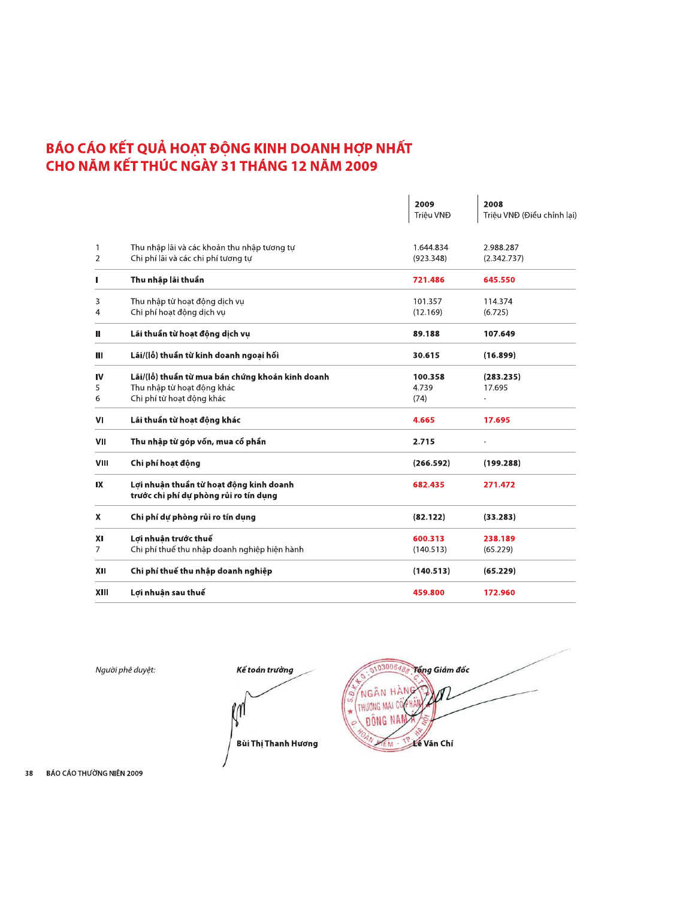# BÁO CÁO KẾT QUẢ HOẠT ĐỘNG KINH DOANH HỢP NHẤT<br>CHO NĂM KẾT THÚC NGÀY 31 THÁNG 12 NĂM 2009

|                     |                                                                                                             | 2009<br>Triêu VNĐ        | 2008<br>Triệu VNĐ (Điều chỉnh lại) |
|---------------------|-------------------------------------------------------------------------------------------------------------|--------------------------|------------------------------------|
| 1<br>$\overline{2}$ | Thu nhập lãi và các khoản thu nhập tương tự<br>Chi phí lãi và các chi phí tương tư                          | 1.644.834<br>(923.348)   | 2.988.287<br>(2.342.737)           |
| п                   | Thu nhập lãi thuần                                                                                          | 721.486                  | 645.550                            |
| 3<br>4              | Thu nhập từ hoạt động dịch vụ<br>Chi phí hoạt động dịch vụ                                                  | 101.357<br>(12.169)      | 114.374<br>(6.725)                 |
| Ш                   | Lãi thuần từ hoạt động dịch vụ                                                                              | 89.188                   | 107.649                            |
| Ш                   | Lãi/(lỗ) thuần từ kinh doanh ngoai hối                                                                      | 30.615                   | (16.899)                           |
| <b>IV</b><br>5<br>6 | Lãi/(lỗ) thuần từ mua bán chứng khoán kinh doanh<br>Thu nhập từ hoạt đông khác<br>Chi phí từ hoạt động khác | 100.358<br>4.739<br>(74) | (283.235)<br>17.695                |
| VI                  | Lãi thuần từ hoạt động khác                                                                                 | 4.665                    | 17.695                             |
| VII                 | Thu nhập từ góp vốn, mua cổ phần                                                                            | 2.715                    |                                    |
| VIII                | Chi phí hoạt động                                                                                           | (266.592)                | (199.288)                          |
| IX                  | Lơi nhuân thuần từ hoat đông kinh doanh<br>trước chi phí dự phòng rủi ro tín dụng                           | 682.435                  | 271.472                            |
| X                   | Chi phí dự phòng rủi ro tín dụng                                                                            | (82.122)                 | (33.283)                           |
| XI<br>7             | Lợi nhuận trước thuế<br>Chi phí thuế thu nhập doanh nghiệp hiên hành                                        | 600.313<br>(140.513)     | 238.189<br>(65.229)                |
| XII                 | Chi phí thuế thu nhập doanh nghiệp                                                                          | (140.513)                | (65.229)                           |
| XIII                | Lợi nhuận sau thuế                                                                                          | 459.800                  | 172.960                            |

Người phê duyệt:



 $0300648$ Tổng Giám đốc NGÂN HÀN HUONG MAI C **BÔNG NAI Victor** Văn Chí **KIEM** 

38 BÁO CÁO THƯỜNG NIÊN 2009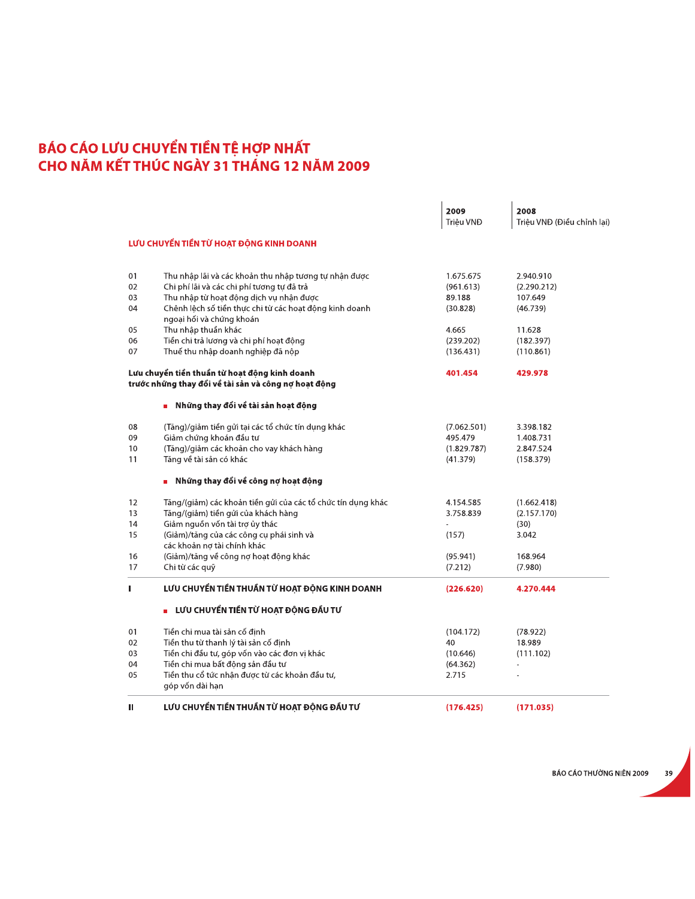|    | BÁO CÁO LƯU CHUYỂN TIỀN TỆ HỢP NHẤT                                                                   |             |                            |
|----|-------------------------------------------------------------------------------------------------------|-------------|----------------------------|
|    | CHO NĂM KẾT THÚC NGÀY 31 THÁNG 12 NĂM 2009                                                            |             |                            |
|    |                                                                                                       | 2009        | 2008                       |
|    |                                                                                                       | Triêu VNĐ   | Triệu VNĐ (Điều chỉnh lại) |
|    | LƯU CHUYỂN TIỀN TỪ HOẠT ĐỘNG KINH DOANH                                                               |             |                            |
| 01 | Thu nhập lãi và các khoản thu nhập tương tự nhận được                                                 | 1.675.675   | 2.940.910                  |
| 02 | Chi phí lãi và các chi phí tương tự đã trả                                                            | (961.613)   | (2.290.212)                |
| 03 | Thu nhập từ hoạt động dịch vụ nhận được                                                               | 89.188      | 107.649                    |
| 04 | Chênh lệch số tiền thực chi từ các hoạt động kinh doanh                                               | (30.828)    | (46.739)                   |
|    | ngoại hối và chứng khoán                                                                              |             |                            |
| 05 | Thu nhập thuần khác                                                                                   | 4.665       | 11.628                     |
| 06 | Tiền chi trả lương và chi phí hoạt động                                                               | (239.202)   | (182.397)                  |
| 07 | Thuế thu nhập doanh nghiệp đã nộp                                                                     | (136.431)   | (110.861)                  |
|    | Lưu chuyển tiền thuần từ hoạt động kinh doanh<br>trước những thay đổi về tài sản và công nợ hoạt động | 401.454     | 429.978                    |
|    | ■ Những thay đổi về tài sản hoạt động                                                                 |             |                            |
| 08 | (Tăng)/giảm tiền gửi tại các tổ chức tín dụng khác                                                    | (7.062.501) | 3.398.182                  |
| 09 | Giảm chứng khoán đầu tư                                                                               | 495.479     | 1.408.731                  |
| 10 | (Tăng)/giảm các khoản cho vay khách hàng                                                              | (1.829.787) | 2.847.524                  |
| 11 | Tăng về tài sản có khác                                                                               | (41.379)    | (158.379)                  |
|    | Những thay đổi về công nợ hoạt động                                                                   |             |                            |
| 12 | Tăng/(giảm) các khoản tiền gửi của các tổ chức tín dụng khác                                          | 4.154.585   | (1.662.418)                |
| 13 | Tăng/(giảm) tiền gửi của khách hàng                                                                   | 3.758.839   | (2.157.170)                |
| 14 | Giảm nguồn vốn tài trợ ủy thác                                                                        |             | (30)                       |
| 15 | (Giảm)/tăng của các công cụ phái sinh và                                                              | (157)       | 3.042                      |
|    | các khoản nợ tài chính khác                                                                           |             |                            |
| 16 | (Giảm)/tăng về công nợ hoạt động khác                                                                 | (95.941)    | 168.964                    |
| 17 | Chi từ các quỹ                                                                                        | (7.212)     | (7.980)                    |
| I. | LƯU CHUYỂN TIỀN THUẦN TỪ HOẠT ĐỘNG KINH DOANH                                                         | (226.620)   | 4.270.444                  |
|    | LƯU CHUYỂN TIỀN TỪ HOẠT ĐỘNG ĐẦU TƯ                                                                   |             |                            |
| 01 | Tiền chi mua tài sản cố đinh                                                                          | (104.172)   | (78.922)                   |
| 02 | Tiền thu từ thanh lý tài sản cố định                                                                  | 40          | 18.989                     |
| 03 | Tiền chi đầu tư, góp vốn vào các đơn vị khác                                                          | (10.646)    | (111.102)                  |
| 04 | Tiền chi mua bất động sản đầu tư                                                                      | (64.362)    |                            |
| 05 | Tiền thu cổ tức nhận được từ các khoản đầu tư,<br>góp vốn dài hạn                                     | 2.715       |                            |
|    | LƯU CHUYỂN TIỀN THUẦN TỪ HOẠT ĐỘNG ĐẦU TƯ                                                             | (176.425)   | (171.035)                  |
| Ш  |                                                                                                       |             |                            |

BAO CAO THUONG NIEN 2009 39